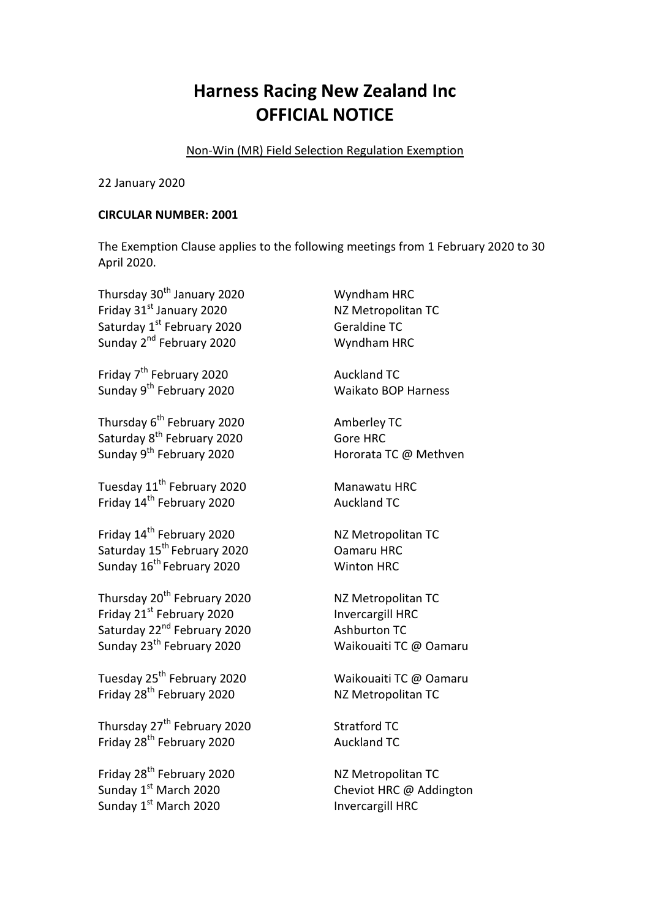## **Harness Racing New Zealand Inc OFFICIAL NOTICE**

Non-Win (MR) Field Selection Regulation Exemption

22 January 2020

## **CIRCULAR NUMBER: 2001**

The Exemption Clause applies to the following meetings from 1 February 2020 to 30 April 2020.

| Thursday 30 <sup>th</sup> January 2020  | Wyndham HRC                |
|-----------------------------------------|----------------------------|
| Friday 31st January 2020                | NZ Metropolitan TC         |
| Saturday 1st February 2020              | <b>Geraldine TC</b>        |
| Sunday 2 <sup>nd</sup> February 2020    | Wyndham HRC                |
| Friday 7 <sup>th</sup> February 2020    | <b>Auckland TC</b>         |
| Sunday 9 <sup>th</sup> February 2020    | <b>Waikato BOP Harness</b> |
| Thursday 6 <sup>th</sup> February 2020  | Amberley TC                |
| Saturday 8 <sup>th</sup> February 2020  | <b>Gore HRC</b>            |
| Sunday 9 <sup>th</sup> February 2020    | Hororata TC @ Methven      |
| Tuesday 11 <sup>th</sup> February 2020  | Manawatu HRC               |
| Friday 14 <sup>th</sup> February 2020   | <b>Auckland TC</b>         |
| Friday 14 <sup>th</sup> February 2020   | NZ Metropolitan TC         |
| Saturday 15 <sup>th</sup> February 2020 | Oamaru HRC                 |
| Sunday 16 <sup>th</sup> February 2020   | <b>Winton HRC</b>          |
| Thursday 20 <sup>th</sup> February 2020 | NZ Metropolitan TC         |
| Friday 21st February 2020               | Invercargill HRC           |
| Saturday 22 <sup>nd</sup> February 2020 | <b>Ashburton TC</b>        |
| Sunday 23 <sup>th</sup> February 2020   | Waikouaiti TC @ Oamaru     |
| Tuesday 25 <sup>th</sup> February 2020  | Waikouaiti TC @ Oamaru     |
| Friday 28 <sup>th</sup> February 2020   | NZ Metropolitan TC         |
| Thursday 27 <sup>th</sup> February 2020 | <b>Stratford TC</b>        |
| Friday 28 <sup>th</sup> February 2020   | <b>Auckland TC</b>         |
| Friday 28 <sup>th</sup> February 2020   | NZ Metropolitan TC         |
| Sunday 1st March 2020                   | Cheviot HRC @ Addington    |
| Sunday 1st March 2020                   | <b>Invercargill HRC</b>    |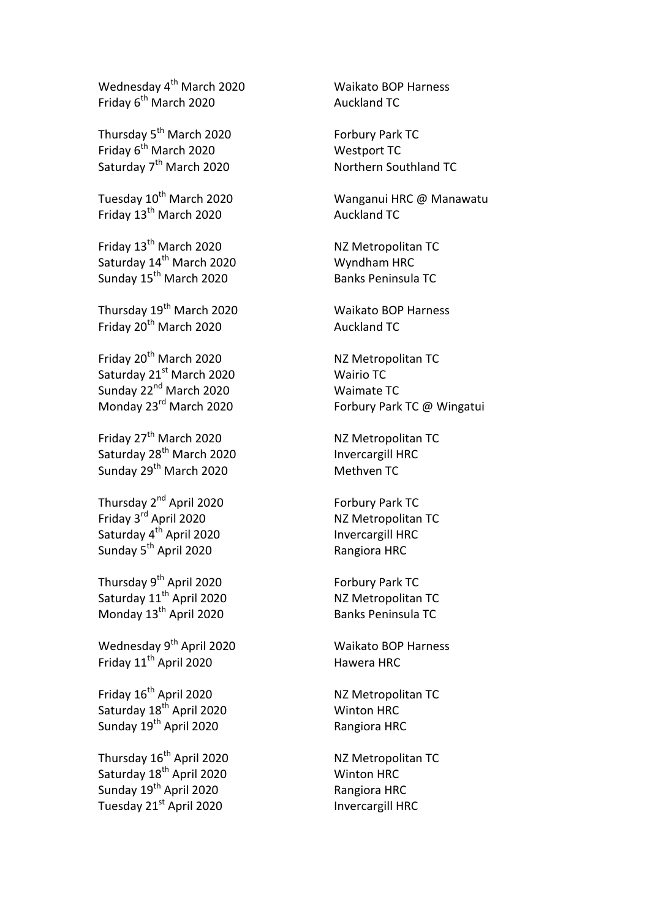Wednesday 4<sup>th</sup> March 2020 Waikato BOP Harness Friday 6<sup>th</sup> March 2020 **Auckland TC** 

Thursday 5<sup>th</sup> March 2020 Forbury Park TC Friday 6<sup>th</sup> March 2020 Westport TC Saturday 7<sup>th</sup> March 2020 **Northern Southland TC** 

Friday 13<sup>th</sup> March 2020 **Auckland TC** 

Friday 13<sup>th</sup> March 2020 NZ Metropolitan TC Saturday 14<sup>th</sup> March 2020 Wyndham HRC Sunday 15<sup>th</sup> March 2020 Banks Peninsula TC

Thursday 19th March 2020 Waikato BOP Harness Friday 20<sup>th</sup> March 2020 **Auckland TC** 

Friday 20<sup>th</sup> March 2020 NZ Metropolitan TC Saturday 21<sup>st</sup> March 2020 Wairio TC Sunday  $22<sup>nd</sup>$  March 2020 Waimate TC

Friday 27<sup>th</sup> March 2020 NZ Metropolitan TC Saturday 28<sup>th</sup> March 2020 **Invercargill HRC** Sunday 29<sup>th</sup> March 2020 Methven TC

Thursday 2<sup>nd</sup> April 2020 **Forbury Park TC** Friday 3<sup>rd</sup> April 2020 NZ Metropolitan TC Saturday 4<sup>th</sup> April 2020 **Invercargill HRC** Sunday 5<sup>th</sup> April 2020 Rangiora HRC

Thursday 9<sup>th</sup> April 2020 Forbury Park TC Saturday 11<sup>th</sup> April 2020 NZ Metropolitan TC Monday 13<sup>th</sup> April 2020 Banks Peninsula TC

Wednesday 9<sup>th</sup> April 2020 Waikato BOP Harness Friday 11<sup>th</sup> April 2020 Hawera HRC

Friday 16<sup>th</sup> April 2020 NZ Metropolitan TC Saturday 18<sup>th</sup> April 2020 Winton HRC Sunday 19<sup>th</sup> April 2020 Rangiora HRC

Thursday 16<sup>th</sup> April 2020 NZ Metropolitan TC Saturday 18<sup>th</sup> April 2020 Winton HRC Sunday 19<sup>th</sup> April 2020 Rangiora HRC Tuesday 21<sup>st</sup> April 2020 **Invercargill HRC** 

Tuesday 10th March 2020 Wanganui HRC @ Manawatu

Monday 23<sup>rd</sup> March 2020 **Forbury Park TC @ Wingatui**